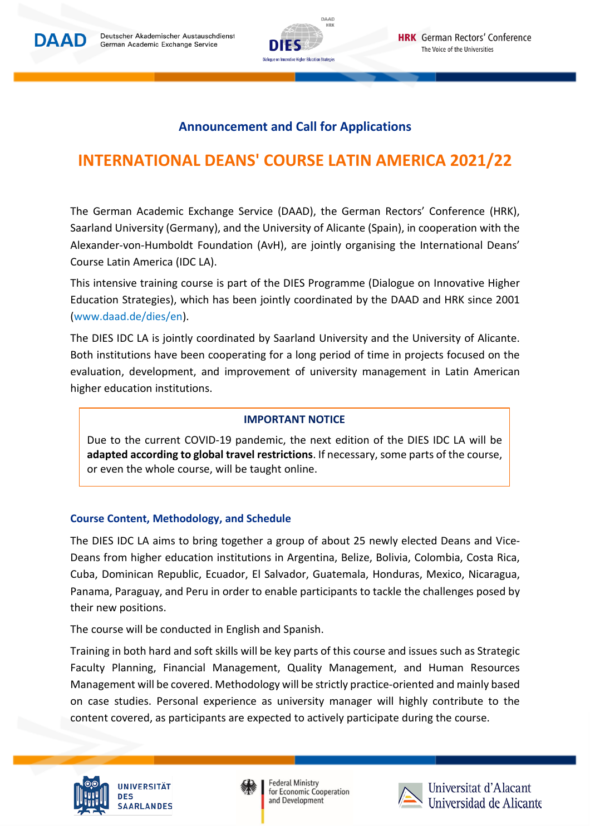



## **Announcement and Call for Applications**

# **INTERNATIONAL DEANS' COURSE LATIN AMERICA 2021/22**

The German Academic Exchange Service (DAAD), the German Rectors' Conference (HRK), Saarland University (Germany), and the University of Alicante (Spain), in cooperation with the Alexander-von-Humboldt Foundation (AvH), are jointly organising the International Deans' Course Latin America (IDC LA).

This intensive training course is part of the DIES Programme (Dialogue on Innovative Higher Education Strategies), which has been jointly coordinated by the DAAD and HRK since 2001 [\(www.daad.de/dies/](http://www.daad.de/dies)en).

The DIES IDC LA is jointly coordinated by Saarland University and the University of Alicante. Both institutions have been cooperating for a long period of time in projects focused on the evaluation, development, and improvement of university management in Latin American higher education institutions.

### **IMPORTANT NOTICE**

Due to the current COVID-19 pandemic, the next edition of the DIES IDC LA will be **adapted according to global travel restrictions**. If necessary, some parts of the course, or even the whole course, will be taught online.

### **Course Content, Methodology, and Schedule**

The DIES IDC LA aims to bring together a group of about 25 newly elected Deans and Vice-Deans from higher education institutions in Argentina, Belize, Bolivia, Colombia, Costa Rica, Cuba, Dominican Republic, Ecuador, El Salvador, Guatemala, Honduras, Mexico, Nicaragua, Panama, Paraguay, and Peru in order to enable participants to tackle the challenges posed by their new positions.

The course will be conducted in English and Spanish.

Training in both hard and soft skills will be key parts of this course and issues such as Strategic Faculty Planning, Financial Management, Quality Management, and Human Resources Management will be covered. Methodology will be strictly practice-oriented and mainly based on case studies. Personal experience as university manager will highly contribute to the content covered, as participants are expected to actively participate during the course.





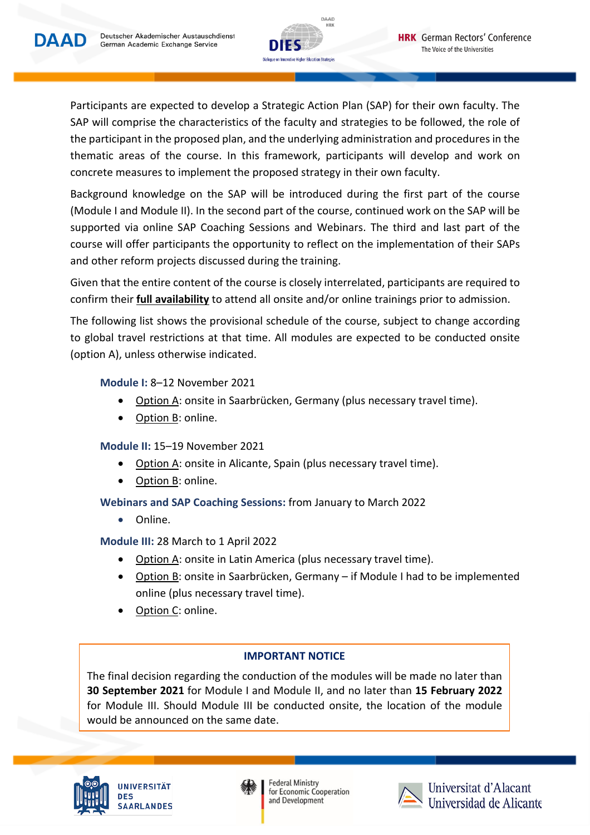



Participants are expected to develop a Strategic Action Plan (SAP) for their own faculty. The SAP will comprise the characteristics of the faculty and strategies to be followed, the role of the participant in the proposed plan, and the underlying administration and proceduresin the thematic areas of the course. In this framework, participants will develop and work on concrete measures to implement the proposed strategy in their own faculty.

Background knowledge on the SAP will be introduced during the first part of the course (Module I and Module II). In the second part of the course, continued work on the SAP will be supported via online SAP Coaching Sessions and Webinars. The third and last part of the course will offer participants the opportunity to reflect on the implementation of their SAPs and other reform projects discussed during the training.

Given that the entire content of the course is closely interrelated, participants are required to confirm their **full availability** to attend all onsite and/or online trainings prior to admission.

The following list shows the provisional schedule of the course, subject to change according to global travel restrictions at that time. All modules are expected to be conducted onsite (option A), unless otherwise indicated.

## **Module I:** 8–12 November 2021

- Option A: onsite in Saarbrücken, Germany (plus necessary travel time).
- Option B: online.

## **Module II:** 15–19 November 2021

- Option A: onsite in Alicante, Spain (plus necessary travel time).
- Option B: online.

## **Webinars and SAP Coaching Sessions:** from January to March 2022

• Online.

## **Module III:** 28 March to 1 April 2022

- Option A: onsite in Latin America (plus necessary travel time).
- Option B: onsite in Saarbrücken, Germany if Module I had to be implemented online (plus necessary travel time).
- Option C: online.

## **IMPORTANT NOTICE**

The final decision regarding the conduction of the modules will be made no later than **30 September 2021** for Module I and Module II, and no later than **15 February 2022** for Module III. Should Module III be conducted onsite, the location of the module would be announced on the same date.





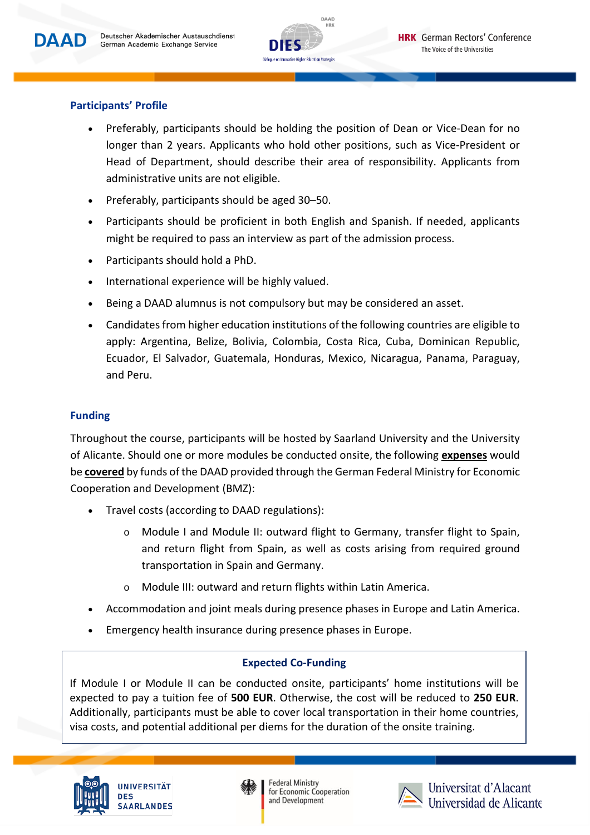

## **Participants' Profile**

- Preferably, participants should be holding the position of Dean or Vice-Dean for no longer than 2 years. Applicants who hold other positions, such as Vice-President or Head of Department, should describe their area of responsibility. Applicants from administrative units are not eligible.
- Preferably, participants should be aged 30–50.
- Participants should be proficient in both English and Spanish. If needed, applicants might be required to pass an interview as part of the admission process.
- Participants should hold a PhD.
- International experience will be highly valued.
- Being a DAAD alumnus is not compulsory but may be considered an asset.
- Candidatesfrom higher education institutions of the following countries are eligible to apply: Argentina, Belize, Bolivia, Colombia, Costa Rica, Cuba, Dominican Republic, Ecuador, El Salvador, Guatemala, Honduras, Mexico, Nicaragua, Panama, Paraguay, and Peru.

### **Funding**

Throughout the course, participants will be hosted by Saarland University and the University of Alicante. Should one or more modules be conducted onsite, the following **expenses** would be **covered** by funds of the DAAD provided through the German Federal Ministry for Economic Cooperation and Development (BMZ):

- Travel costs (according to DAAD regulations):
	- o Module I and Module II: outward flight to Germany, transfer flight to Spain, and return flight from Spain, as well as costs arising from required ground transportation in Spain and Germany.
	- o Module III: outward and return flights within Latin America.
- Accommodation and joint meals during presence phases in Europe and Latin America.
- Emergency health insurance during presence phases in Europe.

### **Expected Co-Funding**

If Module I or Module II can be conducted onsite, participants' home institutions will be expected to pay a tuition fee of **500 EUR**. Otherwise, the cost will be reduced to **250 EUR**. Additionally, participants must be able to cover local transportation in their home countries, visa costs, and potential additional per diems for the duration of the onsite training.





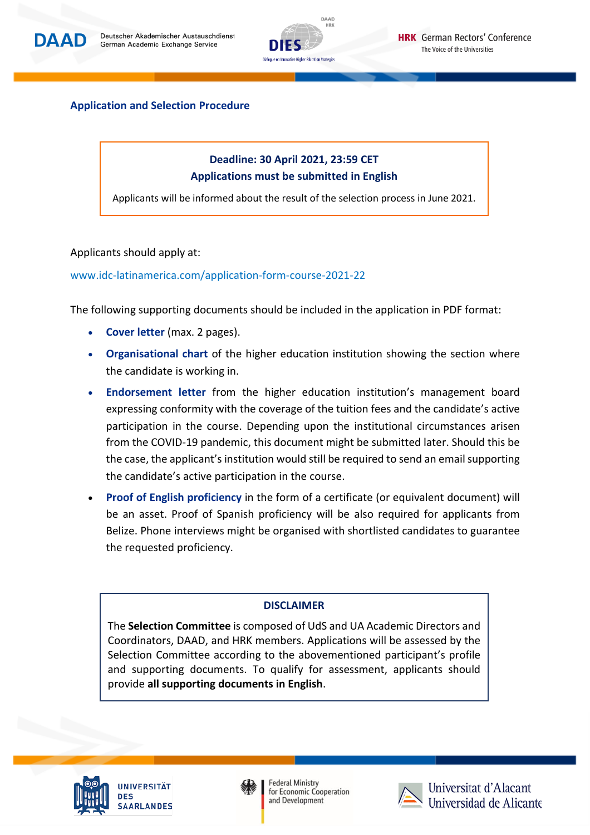



#### **Application and Selection Procedure**

## **Deadline: 30 April 2021, 23:59 CET Applications must be submitted in English**

Applicants will be informed about the result of the selection process in June 2021.

#### Applicants should apply at:

#### [www.idc-latinamerica.com/application-form-course-2021-22](http://www.idc-latinamerica.com/application-form-course-2021-22)

The following supporting documents should be included in the application in PDF format:

- **Cover letter** (max. 2 pages).
- **Organisational chart** of the higher education institution showing the section where the candidate is working in.
- **Endorsement letter** from the higher education institution's management board expressing conformity with the coverage of the tuition fees and the candidate's active participation in the course. Depending upon the institutional circumstances arisen from the COVID-19 pandemic, this document might be submitted later. Should this be the case, the applicant's institution would still be required to send an emailsupporting the candidate's active participation in the course.
- **Proof of English proficiency** in the form of a certificate (or equivalent document) will be an asset. Proof of Spanish proficiency will be also required for applicants from Belize. Phone interviews might be organised with shortlisted candidates to guarantee the requested proficiency.

#### **DISCLAIMER**

The **Selection Committee** is composed of UdS and UA Academic Directors and Coordinators, DAAD, and HRK members. Applications will be assessed by the Selection Committee according to the abovementioned participant's profile and supporting documents. To qualify for assessment, applicants should provide **all supporting documents in English**.